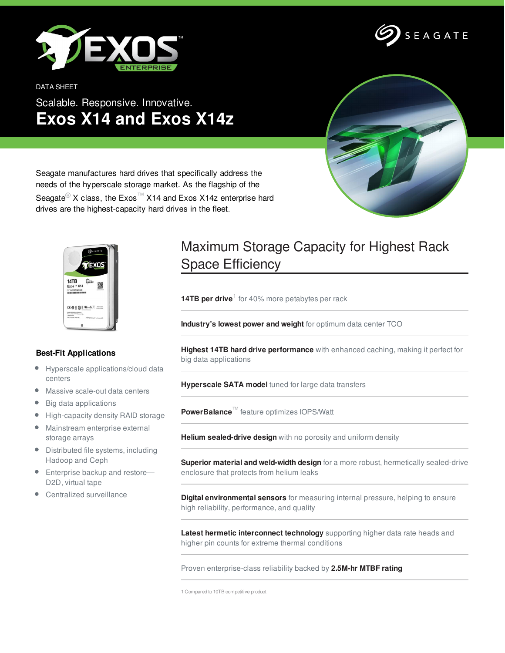

DATA SHEET

## Scalable. Responsive. Innovative. **Exos X14 and Exos X14z**





Seagate manufactures hard drives that specifically address the needs of the hyperscale storage market. As the flagship of the Seagate<sup>®</sup> X class, the Exos<sup>™</sup> X14 and Exos X14z enterprise hard drives are the highest-capacity hard drives in the fleet.



## **Best-Fit Applications**

- Hyperscale applications/cloud data  $\bullet$ centers
- Massive scale-out data centers  $\bullet$
- Big data applications  $\bullet$
- High-capacity density RAID storage
- Mainstream enterprise external storage arrays
- Distributed file systems, including Hadoop and Ceph
- Enterprise backup and restore— D2D, virtual tape
- Centralized surveillance

## Maximum Storage Capacity for Highest Rack Space Efficiency

**14TB per drive**<sup>1</sup> for 40% more petabytes per rack

**Industry's lowest power and weight** for optimum data center TCO

**Highest 14TB hard drive performance** with enhanced caching, making it perfect for big data applications

**Hyperscale SATA model** tuned for large data transfers

**PowerBalance**™ feature optimizes IOPS/Watt

**Helium sealed-drive design** with no porosity and uniform density

**Superior material and weld-width design** for a more robust, hermetically sealed-drive enclosure that protects from helium leaks

**Digital environmental sensors** for measuring internal pressure, helping to ensure high reliability, performance, and quality

**Latest hermetic interconnect technology** supporting higher data rate heads and higher pin counts for extreme thermal conditions

Proven enterprise-class reliability backed by **2.5M-hr MTBF rating**

1 Compared to 10TB competitive product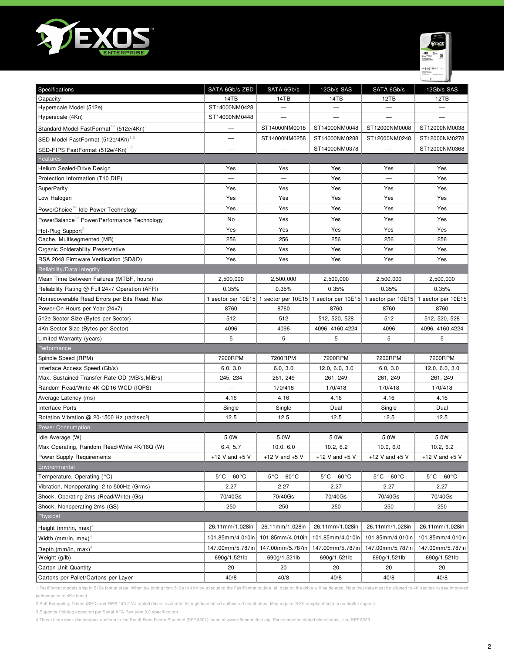



| Specifications                                          | SATA 6Gb/s ZBD                  | SATA 6Gb/s                      | 12Gb/s SAS                      | SATA 6Gb/s                                               | 12Gb/s SAS                      |
|---------------------------------------------------------|---------------------------------|---------------------------------|---------------------------------|----------------------------------------------------------|---------------------------------|
| Capacity                                                | 14TB                            | 14TB                            | 14TB                            | 12TB                                                     | 12TB                            |
| Hyperscale Model (512e)                                 | ST14000NM0428                   | $\overline{\phantom{0}}$        |                                 | —                                                        | —                               |
| Hyperscale (4Kn)                                        | ST14000NM0448                   | $\qquad \qquad$                 |                                 | $\overline{\phantom{0}}$                                 | —                               |
| Standard Model FastFormat (512e/4Kn)                    |                                 | ST14000NM0018                   | ST14000NM0048                   | ST12000NM0008                                            | ST12000NM0038                   |
| SED Model FastFormat (512e/4Kn) <sup>1,2</sup>          | —                               | ST14000NM0258                   | ST14000NM0288                   | ST12000NM0248                                            | ST12000NM0278                   |
| SED-FIPS FastFormat (512e/4Kn) <sup>1,2</sup>           |                                 |                                 | ST14000NM0378                   |                                                          | ST12000NM0368                   |
| Features                                                |                                 |                                 |                                 |                                                          |                                 |
| Helium Sealed-Drive Design                              | Yes                             | Yes                             | Yes                             | Yes                                                      | Yes                             |
| Protection Information (T10 DIF)                        |                                 |                                 | Yes                             |                                                          | Yes                             |
| <b>SuperParity</b>                                      | Yes                             | Yes                             | Yes                             | Yes                                                      | Yes                             |
| Low Halogen                                             | Yes                             | Yes                             | Yes                             | Yes                                                      | Yes                             |
| PowerChoice™ Idle Power Technology                      | Yes                             | Yes                             | Yes                             | Yes                                                      | Yes                             |
| PowerBalance™ Power/Performance Technology              | No                              | Yes                             | Yes                             | Yes                                                      | Yes                             |
| Hot-Plug Support                                        | Yes                             | Yes                             | Yes                             | Yes                                                      | Yes                             |
| Cache, Multisegmented (MB)                              | 256                             | 256                             | 256                             | 256                                                      | 256                             |
| Organic Solderability Preservative                      | Yes                             | Yes                             | Yes                             | Yes                                                      | Yes                             |
| RSA 2048 Firmware Verification (SD&D)                   | Yes                             | Yes                             | Yes                             | Yes                                                      | Yes                             |
| Reliability/Data Integrity                              |                                 |                                 |                                 |                                                          |                                 |
| Mean Time Between Failures (MTBF, hours)                | 2,500,000                       | 2,500,000                       | 2,500,000                       | 2,500,000                                                | 2,500,000                       |
| Reliability Rating @ Full 24×7 Operation (AFR)          | 0.35%                           | 0.35%                           | 0.35%                           | 0.35%                                                    | 0.35%                           |
| Nonrecoverable Read Errors per Bits Read, Max           | 1 sector per 10E15              |                                 |                                 | 1 sector per 10E15 1 sector per 10E15 1 sector per 10E15 | 1 sector per 10E15              |
| Power-On Hours per Year (24x7)                          | 8760                            | 8760                            | 8760                            | 8760                                                     | 8760                            |
| 512e Sector Size (Bytes per Sector)                     | 512                             | 512                             | 512, 520, 528                   | 512                                                      | 512, 520, 528                   |
| 4Kn Sector Size (Bytes per Sector)                      | 4096                            | 4096                            | 4096, 4160, 4224                | 4096                                                     | 4096, 4160, 4224                |
| Limited Warranty (years)                                | 5                               | 5                               | 5                               | 5                                                        | 5                               |
| Performance                                             |                                 |                                 |                                 |                                                          |                                 |
| Spindle Speed (RPM)                                     | 7200RPM                         | 7200RPM                         | 7200RPM                         | 7200RPM                                                  | 7200RPM                         |
| Interface Access Speed (Gb/s)                           | 6.0, 3.0                        | 6.0, 3.0                        | 12.0, 6.0, 3.0                  | 6.0, 3.0                                                 | 12.0, 6.0, 3.0                  |
| Max. Sustained Transfer Rate OD (MB/s, MiB/s)           | 245, 234                        | 261, 249                        | 261, 249                        | 261, 249                                                 | 261, 249                        |
| Random Read/Write 4K QD16 WCD (IOPS)                    |                                 | 170/418                         | 170/418                         | 170/418                                                  | 170/418                         |
| Average Latency (ms)                                    | 4.16                            | 4.16                            | 4.16                            | 4.16                                                     | 4.16                            |
| Interface Ports                                         | Single                          | Single                          | Dual                            | Single                                                   | Dual                            |
| Rotation Vibration @ 20-1500 Hz (rad/sec <sup>2</sup> ) | 12.5                            | 12.5                            | 12.5                            | 12.5                                                     | 12.5                            |
| <b>Power Consumption</b>                                |                                 |                                 |                                 |                                                          |                                 |
| Idle Average (W)                                        | 5.0W                            | 5.0W                            | 5.0W                            | 5.0W                                                     | 5.0W                            |
| Max Operating, Random Read/Write 4K/16Q (W)             | 6.4, 5.7                        | 10.0, 6.0                       | 10.2, 6.2                       | 10.0, 6.0                                                | 10.2, 6.2                       |
| Power Supply Requirements                               | +12 V and $+5$ V                | +12 V and $+5$ V                | +12 V and $+5$ V                | +12 V and $+5$ V                                         | +12 V and $+5$ V                |
| Environmental                                           |                                 |                                 |                                 |                                                          |                                 |
| Temperature, Operating (°C)                             | $5^{\circ}$ C - 60 $^{\circ}$ C | $5^{\circ}$ C – 60 $^{\circ}$ C | $5^{\circ}$ C – 60 $^{\circ}$ C | $5^{\circ}$ C - 60 $^{\circ}$ C                          | $5^{\circ}$ C - 60 $^{\circ}$ C |
| Vibration, Nonoperating: 2 to 500Hz (Grms)              | 2.27                            | 2.27                            | 2.27                            | 2.27                                                     | 2.27                            |
| Shock, Operating 2ms (Read/Write) (Gs)                  | 70/40Gs                         | 70/40Gs                         | 70/40Gs                         | 70/40Gs                                                  | 70/40Gs                         |
| Shock, Nonoperating 2ms (GS)                            | 250                             | 250                             | 250                             | 250                                                      | 250                             |
| Physical                                                |                                 |                                 |                                 |                                                          |                                 |
| Height (mm/in, max) <sup>4</sup>                        | 26.11mm/1.028in                 | 26.11mm/1.028in                 | 26.11mm/1.028in                 | 26.11mm/1.028in                                          | 26.11mm/1.028in                 |
| Width (mm/in, max) <sup>4</sup>                         | 101.85mm/4.010in                | 101.85mm/4.010in                | 101.85mm/4.010in                | 101.85mm/4.010in                                         | 101.85mm/4.010in                |
| Depth (mm/in, max) <sup>4</sup>                         | 147.00mm/5.787in                | 147.00mm/5.787in                | 147.00mm/5.787in                | 147.00mm/5.787in                                         | 147.00mm/5.787in                |
| Weight (g/lb)                                           | 690g/1.521lb                    | 690g/1.521lb                    | 690g/1.521lb                    | 690g/1.521lb                                             | 690g/1.521lb                    |
| Carton Unit Quantity                                    | 20                              | 20                              | 20                              | 20                                                       | 20                              |
| Cartons per Pallet/Cartons per Layer                    | 40/8                            | 40/8                            | 40/8                            | 40/8                                                     | 40/8                            |

1 FastFormat models ship in 512e format state. When switching from 512e to 4Kn by executing the FastFormat routine, all data on the drive will be deleted. Note that data must be aligned to 4K sectors to see improved performance in 4Kn fomat.

2 Self-Encrypting Drives (SED) and FIPS 140-2 Validated drives available through franchised authorized distributors. May require TCG-compliant host or controller support.

3 Supports Hotplug operation per Serial ATA Revision 3.2 specification

4 These base deck dimensions conform to the Small Form Factor Standard (SFF-8301) found at www.sffcommittee.org. For connector-related dimensions, see SFF-8323.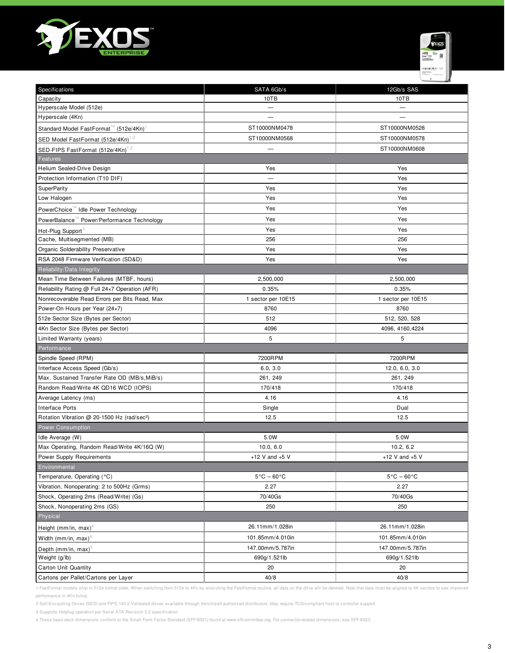



| Specifications                                          | SATA 6Gb/s                           | 12Gb/s SAS                      |  |  |  |
|---------------------------------------------------------|--------------------------------------|---------------------------------|--|--|--|
| Capacity                                                | 10TB                                 | 10TB                            |  |  |  |
| Hyperscale Model (512e)                                 |                                      |                                 |  |  |  |
| Hyperscale (4Kn)                                        |                                      |                                 |  |  |  |
| Standard Model FastFormat (512e/4Kn)                    | ST10000NM0478                        | ST10000NM0528                   |  |  |  |
| SED Model FastFormat (512e/4Kn) <sup>1,2</sup>          | ST10000NM0568                        | ST10000NM0578                   |  |  |  |
| SED-FIPS FastFormat (512e/4Kn) <sup>1,2</sup>           |                                      | ST10000NM0608                   |  |  |  |
| Features                                                |                                      |                                 |  |  |  |
| Helium Sealed-Drive Design                              | Yes                                  | Yes                             |  |  |  |
| Protection Information (T10 DIF)                        | $\overline{\phantom{m}}$             | Yes                             |  |  |  |
| SuperParity                                             | Yes                                  | Yes                             |  |  |  |
| Low Halogen                                             | Yes                                  | Yes                             |  |  |  |
| PowerChoice™ Idle Power Technology                      | Yes                                  | Yes                             |  |  |  |
| PowerBalance " Power/Performance Technology             | Yes                                  | Yes                             |  |  |  |
| Hot-Plug Support <sup>3</sup>                           | Yes                                  | Yes                             |  |  |  |
| Cache, Multisegmented (MB)                              | 256                                  | 256                             |  |  |  |
| Organic Solderability Preservative                      | Yes                                  | Yes                             |  |  |  |
| RSA 2048 Firmware Verification (SD&D)                   | Yes                                  | Yes                             |  |  |  |
| Reliability/Data Integrity                              |                                      |                                 |  |  |  |
| Mean Time Between Failures (MTBF, hours)                | 2,500,000                            | 2,500,000                       |  |  |  |
| Reliability Rating @ Full 24×7 Operation (AFR)          | 0.35%                                | 0.35%                           |  |  |  |
| Nonrecoverable Read Errors per Bits Read, Max           | 1 sector per 10E15                   | 1 sector per 10E15              |  |  |  |
| Power-On Hours per Year (24×7)                          | 8760                                 | 8760                            |  |  |  |
| 512e Sector Size (Bytes per Sector)                     | 512                                  | 512, 520, 528                   |  |  |  |
| 4Kn Sector Size (Bytes per Sector)                      | 4096                                 | 4096, 4160, 4224                |  |  |  |
| Limited Warranty (years)                                | 5                                    | 5                               |  |  |  |
| Performance                                             |                                      |                                 |  |  |  |
| Spindle Speed (RPM)                                     | 7200RPM                              | 7200RPM                         |  |  |  |
| Interface Access Speed (Gb/s)                           | 6.0, 3.0                             | 12.0, 6.0, 3.0                  |  |  |  |
| Max. Sustained Transfer Rate OD (MB/s, MiB/s)           | 261, 249                             | 261, 249                        |  |  |  |
| Random Read/Write 4K QD16 WCD (IOPS)                    | 170/418                              | 170/418                         |  |  |  |
| Average Latency (ms)                                    | 4.16                                 | 4.16                            |  |  |  |
| <b>Interface Ports</b>                                  | Single                               | Dual                            |  |  |  |
| Rotation Vibration @ 20-1500 Hz (rad/sec <sup>2</sup> ) | 12.5                                 | 12.5                            |  |  |  |
| Power Consumption                                       |                                      |                                 |  |  |  |
| Idle Average (W)                                        | 5.0W                                 | 5.0W                            |  |  |  |
| Max Operating, Random Read/Write 4K/16Q (W)             | 10.0, 6.0                            | 10.2, 6.2                       |  |  |  |
| Power Supply Requirements                               | $+12$ V and $+5$ V                   | +12 V and $+5$ V                |  |  |  |
| Environmental                                           |                                      |                                 |  |  |  |
| Temperature, Operating (°C)                             | $5^{\circ}$ C – 60 $^{\circ}$ C      | $5^{\circ}$ C – 60 $^{\circ}$ C |  |  |  |
| Vibration, Nonoperating: 2 to 500Hz (Grms)              | 2.27                                 | 2.27                            |  |  |  |
| Shock, Operating 2ms (Read/Write) (Gs)                  | 70/40Gs                              | 70/40Gs                         |  |  |  |
| Shock, Nonoperating 2ms (GS)                            | 250                                  | 250                             |  |  |  |
| Physical                                                |                                      |                                 |  |  |  |
| Height (mm/in, max) <sup>4</sup>                        | 26.11mm/1.028in                      | 26.11mm/1.028in                 |  |  |  |
| Width (mm/in, max) <sup>4</sup>                         | 101.85mm/4.010in                     | 101.85mm/4.010in                |  |  |  |
| Depth (mm/in, max) <sup>4</sup>                         | 147.00mm/5.787in<br>147.00mm/5.787in |                                 |  |  |  |
| Weight (g/lb)                                           | 690g/1.521lb                         | 690g/1.521lb                    |  |  |  |
| Carton Unit Quantity                                    | 20                                   | 20                              |  |  |  |
| Cartons per Pallet/Cartons per Layer                    | 40/8                                 | 40/8                            |  |  |  |

1 FastFormat models ship in 512e format state. When switching from 512e to 4Kn by executing the FastFormat routine, all data on the drive will be deleted. Note that data must be aligned to 4K sectors to see improved performance in 4Kn fomat.

2 Self-Encrypting Drives (SED) and FIPS 140-2 Validated drives available through franchised authorized distributors. May require TCG-compliant host or controller support.

3 Supports Hotplug operation per Serial ATA Revision 3.2 specification

4 These base deck dimensions conform to the Small Form Factor Standard (SFF-8301) found at www.sffcommittee.org. For connector-related dimensions, see SFF-8323.